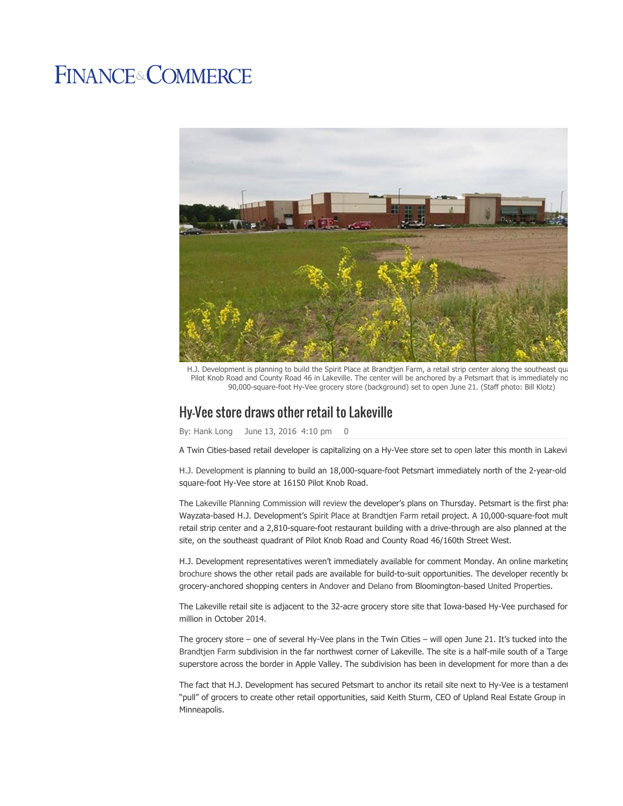## **FINANCE&COMMERCE**



H.J. Development is planning to build the Spirit Place at Brandtjen Farm, a retail strip center along the southeast qua Pilot Knob Road and County Road 46 in Lakeville. The center will be anchored by a Petsmart that is immediately no 90,000-square-foot Hy-Vee grocery store (background) set to open June 21. (Staff photo: Bill Klotz)

## Hy-Vee store draws other retail to Lakeville

By: Hank Long June 13, 2016 4:10 pm 0

A Twin Cities-based retail developer is capitalizing on a Hy-Vee store set to open later this month in Lakevi

H.J. Development is planning to build an 18,000-square-foot Petsmart immediately north of the 2-year-old square-foot Hy-Vee store at 16150 Pilot Knob Road.

The Lakeville Planning Commission will review the developer's plans on Thursday. Petsmart is the first phas Wayzata-based H.J. Development's Spirit Place at Brandtjen Farm retail project. A 10,000-square-foot mult retail strip center and a 2,810-square-foot restaurant building with a drive-through are also planned at the site, on the southeast quadrant of Pilot Knob Road and County Road 46/160th Street West.

H.J. Development representatives weren't immediately available for comment Monday. An online marketing brochure shows the other retail pads are available for build-to-suit opportunities. The developer recently bo grocery-anchored shopping centers in Andover and Delano from Bloomington-based United Properties.

The Lakeville retail site is adjacent to the 32-acre grocery store site that Iowa-based Hy-Vee purchased for million in October 2014.

The grocery store – one of several Hy-Vee plans in the Twin Cities – will open June 21. It's tucked into the Brandtjen Farm subdivision in the far northwest corner of Lakeville. The site is a half-mile south of a Targe superstore across the border in Apple Valley. The subdivision has been in development for more than a dec

The fact that H.J. Development has secured Petsmart to anchor its retail site next to Hy-Vee is a testament "pull" of grocers to create other retail opportunities, said Keith Sturm, CEO of Upland Real Estate Group in Minneapolis.